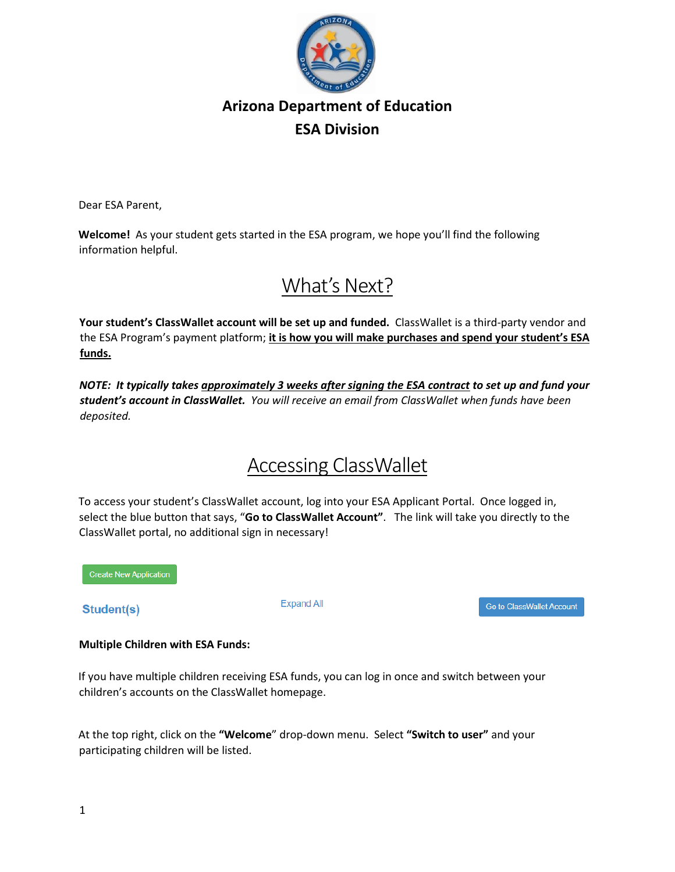

Dear ESA Parent,

**Welcome!** As your student gets started in the ESA program, we hope you'll find the following information helpful.

## What's Next?

**Your student's ClassWallet account will be set up and funded.** ClassWallet is a third-party vendor and the ESA Program's payment platform; **it is how you will make purchases and spend your student's ESA funds.**

*NOTE: It typically takes approximately 3 weeks after signing the ESA contract to set up and fund your student's account in ClassWallet. You will receive an email from ClassWallet when funds have been deposited.*

# Accessing ClassWallet

To access your student's ClassWallet account, log into your ESA Applicant Portal. Once logged in, select the blue button that says, "**Go to ClassWallet Account"**. The link will take you directly to the ClassWallet portal, no additional sign in necessary!

**Create New Application** 

Student(s)

**Expand All** 

Go to ClassWallet Account

#### **Multiple Children with ESA Funds:**

If you have multiple children receiving ESA funds, you can log in once and switch between your children's accounts on the ClassWallet homepage.

At the top right, click on the **"Welcome**" drop-down menu. Select **"Switch to user"** and your participating children will be listed.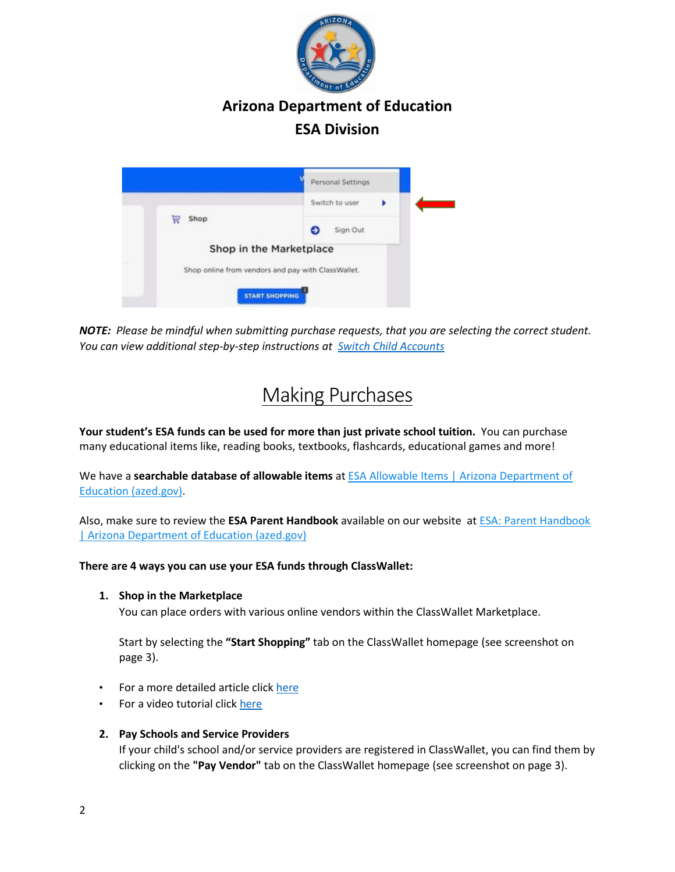



*NOTE: Please be mindful when submitting purchase requests, that you are selecting the correct student. You can view additional step-by-step instructions a[t](https://kleo.force.com/classwallet/s/article/Switching-between-sub-accounts-parents-with-multiple-children) [Switch Child Accounts](https://kleo.force.com/classwallet/s/article/Switching-between-sub-accounts-parents-with-multiple-children)*

## Making Purchases

**Your student's ESA funds can be used for more than just private school tuition.** You can purchase many educational items like, reading books, textbooks, flashcards, educational games and more!

We have a **searchable database of allowable items** at **ESA Allowable Items | Arizona Department of** [Education \(azed.gov\).](https://www.azed.gov/esa/esa-allowable-items)

Also, make sure to review the **ESA Parent Handbook** available on our website at [ESA: Parent Handbook](https://www.azed.gov/esa/parent-handbook)  [| Arizona Department of Education \(azed.gov\)](https://www.azed.gov/esa/parent-handbook)

#### **There are 4 ways you can use your ESA funds through ClassWallet:**

**1. Shop in the Marketplace** 

You can place orders with various online vendors within the ClassWallet Marketplace.

Start by selecting the **"Start Shopping"** tab on the ClassWallet homepage (see screenshot on page 3).

- For a more detailed article clic[k here](https://kleo.force.com/classwallet/s/article/How-to-shop)
- For a video tutorial click [here](https://youtu.be/wXfmImiwTfs)
- **2. Pay Schools and Service Providers**

If your child's school and/or service providers are registered in ClassWallet, you can find them by clicking on the **"Pay Vendor"** tab on the ClassWallet homepage (see screenshot on page 3).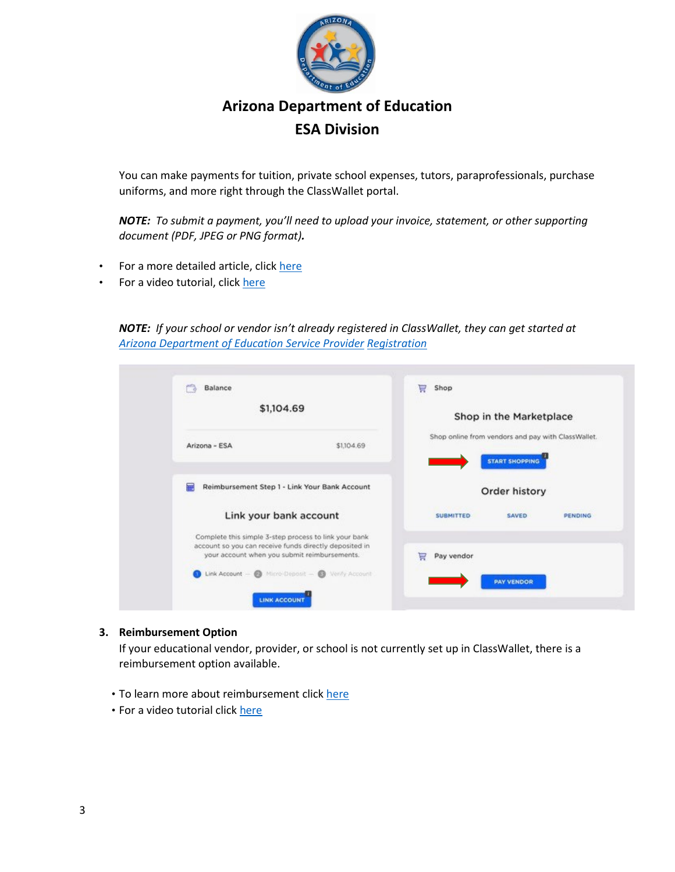

You can make payments for tuition, private school expenses, tutors, paraprofessionals, purchase uniforms, and more right through the ClassWallet portal.

*NOTE: To submit a payment, you'll need to upload your invoice, statement, or other supporting document (PDF, JPEG or PNG format).*

- For a more detailed article, clic[k here](https://kleo.force.com/classwallet/s/article/Pay-a-DirectPay-Vendor)
- For a video tutorial, click [here](https://www.youtube.com/watch?v=vt0oLysesB4)

*NOTE: If your school or vendor isn't already registered in ClassWallet, they can get started at [Arizona Department of Education Service Provider](https://app.smartsheet.com/b/form/f0dea2798798406fbe43c835cf38fbb3) [Registration](https://app.smartsheet.com/b/form/f0dea2798798406fbe43c835cf38fbb3)*

| m<br>Balance  |                                                                                                                                                                 | 冒 | Shop             |                                                                             |                |
|---------------|-----------------------------------------------------------------------------------------------------------------------------------------------------------------|---|------------------|-----------------------------------------------------------------------------|----------------|
|               | \$1,104.69                                                                                                                                                      |   |                  | Shop in the Marketplace                                                     |                |
| Arizona - ESA | \$1,104.69                                                                                                                                                      |   |                  | Shop online from vendors and pay with ClassWallet.<br><b>START SHOPPING</b> |                |
| ₽             | Reimbursement Step 1 - Link Your Bank Account                                                                                                                   |   |                  | Order history                                                               |                |
|               | Link your bank account                                                                                                                                          |   | <b>SUBMITTED</b> | SAVED                                                                       | <b>PENDING</b> |
|               | Complete this simple 3-step process to link your bank<br>account so you can receive funds directly deposited in<br>your account when you submit reimbursements. | ₩ | Pay vendor       |                                                                             |                |
|               | Link Account - @ Micro-Deposit - @ Verify Account                                                                                                               |   |                  | <b>PAY VENDOR</b>                                                           |                |

#### **3. Reimbursement Option**

If your educational vendor, provider, or school is not currently set up in ClassWallet, there is a reimbursement option available.

- To learn more about reimbursement clic[k](https://kleo.force.com/classwallet/s/article/How-to-link-your-bank-account) [here](https://kleo.force.com/classwallet/s/article/How-to-link-your-bank-account)
- For a video tutorial click [here](https://youtu.be/FlKU3LGtt6U)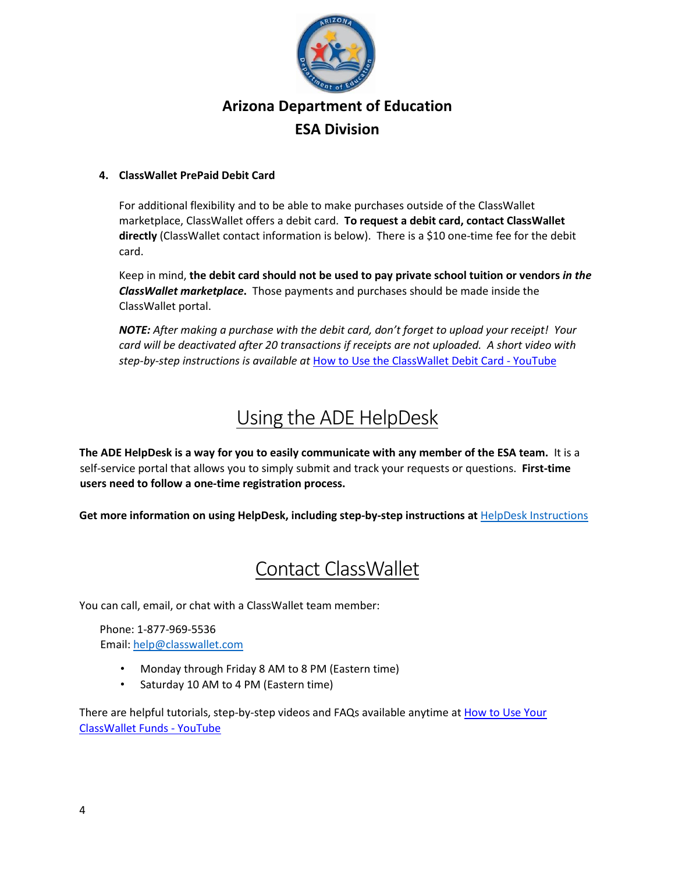

#### **4. ClassWallet PrePaid Debit Card**

For additional flexibility and to be able to make purchases outside of the ClassWallet marketplace, ClassWallet offers a debit card. **To request a debit card, contact ClassWallet directly** (ClassWallet contact information is below). There is a \$10 one-time fee for the debit card.

Keep in mind, **the debit card should not be used to pay private school tuition or vendors** *in the ClassWallet marketplace***.** Those payments and purchases should be made inside the ClassWallet portal.

*NOTE: After making a purchase with the debit card, don't forget to upload your receipt! Your card will be deactivated after 20 transactions if receipts are not uploaded. A short video with step-by-step instructions is available at* [How to Use the ClassWallet Debit Card -](https://www.youtube.com/watch?v=pk6PgNf1uA0&list=PLgvmOdDFTnE4h35S9rBydWLs75yuWPTff&index=6) YouTube

# Using the ADE HelpDesk

**The ADE HelpDesk is a way for you to easily communicate with any member of the ESA team.** It is a self-service portal that allows you to simply submit and track your requests or questions. **First-time users need to follow a one-time registration process.**

**Get more information on using HelpDesk, including step-by-step instructions at** [HelpDesk Instructions](https://www.azed.gov/sites/default/files/2021/10/ESA%20Parent%20HelpDesk%20Instructions.pdf)

## Contact ClassWallet

You can call, email, or chat with a ClassWallet team member:

Phone: 1-877-969-5536 Email: help@classwallet.com

- Monday through Friday 8 AM to 8 PM (Eastern time)
- Saturday 10 AM to 4 PM (Eastern time)

There are helpful tutorials, step-by-step videos and FAQs available anytime at How to Use Your [ClassWallet Funds -](https://www.youtube.com/playlist?list=PLgvmOdDFTnE4h35S9rBydWLs75yuWPTff) YouTube